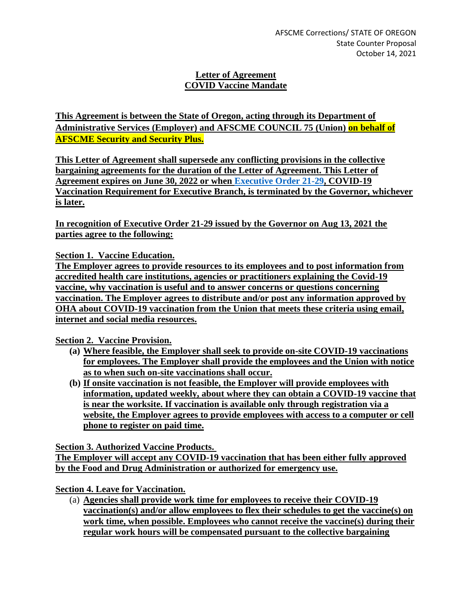## **Letter of Agreement COVID Vaccine Mandate**

**This Agreement is between the State of Oregon, acting through its Department of Administrative Services (Employer) and AFSCME COUNCIL 75 (Union) on behalf of AFSCME Security and Security Plus.**

**This Letter of Agreement shall supersede any conflicting provisions in the collective bargaining agreements for the duration of the Letter of Agreement. This Letter of Agreement expires on June 30, 2022 or when [Executive Order 21-29,](https://www.oregon.gov/gov/Documents/executive_orders/eo_21-29.pdf) COVID-19 Vaccination Requirement for Executive Branch, is terminated by the Governor, whichever is later.**

**In recognition of Executive Order 21-29 issued by the Governor on Aug 13, 2021 the parties agree to the following:**

**Section 1. Vaccine Education.**

**The Employer agrees to provide resources to its employees and to post information from accredited health care institutions, agencies or practitioners explaining the Covid-19 vaccine, why vaccination is useful and to answer concerns or questions concerning vaccination. The Employer agrees to distribute and/or post any information approved by OHA about COVID-19 vaccination from the Union that meets these criteria using email, internet and social media resources.**

**Section 2. Vaccine Provision.**

- **(a) Where feasible, the Employer shall seek to provide on-site COVID-19 vaccinations for employees. The Employer shall provide the employees and the Union with notice as to when such on-site vaccinations shall occur.**
- **(b) If onsite vaccination is not feasible, the Employer will provide employees with information, updated weekly, about where they can obtain a COVID-19 vaccine that is near the worksite. If vaccination is available only through registration via a website, the Employer agrees to provide employees with access to a computer or cell phone to register on paid time.**

**Section 3. Authorized Vaccine Products.**

**The Employer will accept any COVID-19 vaccination that has been either fully approved by the Food and Drug Administration or authorized for emergency use.**

**Section 4. Leave for Vaccination.**

(a) **Agencies shall provide work time for employees to receive their COVID-19 vaccination(s) and/or allow employees to flex their schedules to get the vaccine(s) on work time, when possible. Employees who cannot receive the vaccine(s) during their regular work hours will be compensated pursuant to the collective bargaining**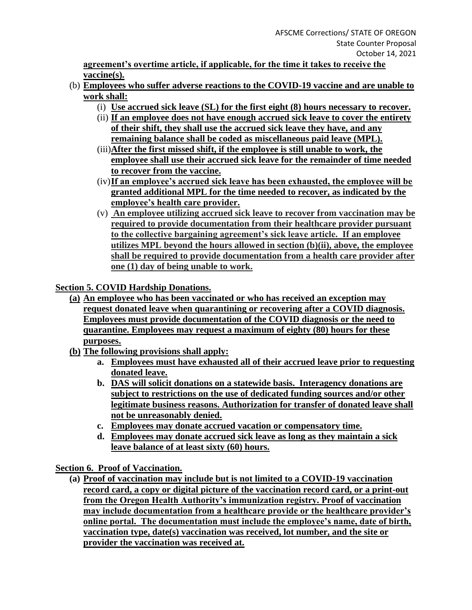**agreement's overtime article, if applicable, for the time it takes to receive the vaccine(s).**

- (b) **Employees who suffer adverse reactions to the COVID-19 vaccine and are unable to work shall:**
	- (i) **Use accrued sick leave (SL) for the first eight (8) hours necessary to recover.**
	- (ii) **If an employee does not have enough accrued sick leave to cover the entirety of their shift, they shall use the accrued sick leave they have, and any remaining balance shall be coded as miscellaneous paid leave (MPL).**
	- (iii)**After the first missed shift, if the employee is still unable to work, the employee shall use their accrued sick leave for the remainder of time needed to recover from the vaccine.**
	- (iv)**If an employee's accrued sick leave has been exhausted, the employee will be granted additional MPL for the time needed to recover, as indicated by the employee's health care provider.**
	- (v) **An employee utilizing accrued sick leave to recover from vaccination may be required to provide documentation from their healthcare provider pursuant to the collective bargaining agreement's sick leave article. If an employee utilizes MPL beyond the hours allowed in section (b)(ii), above, the employee shall be required to provide documentation from a health care provider after one (1) day of being unable to work.**

**Section 5. COVID Hardship Donations.**

- **(a) An employee who has been vaccinated or who has received an exception may request donated leave when quarantining or recovering after a COVID diagnosis. Employees must provide documentation of the COVID diagnosis or the need to quarantine. Employees may request a maximum of eighty (80) hours for these purposes.**
- **(b) The following provisions shall apply:**
	- **a. Employees must have exhausted all of their accrued leave prior to requesting donated leave.**
	- **b. DAS will solicit donations on a statewide basis. Interagency donations are subject to restrictions on the use of dedicated funding sources and/or other legitimate business reasons. Authorization for transfer of donated leave shall not be unreasonably denied.**
	- **c. Employees may donate accrued vacation or compensatory time.**
	- **d. Employees may donate accrued sick leave as long as they maintain a sick leave balance of at least sixty (60) hours.**

**Section 6. Proof of Vaccination.**

**(a) Proof of vaccination may include but is not limited to a COVID-19 vaccination record card, a copy or digital picture of the vaccination record card, or a print-out from the Oregon Health Authority's immunization registry. Proof of vaccination may include documentation from a healthcare provide or the healthcare provider's online portal. The documentation must include the employee's name, date of birth, vaccination type, date(s) vaccination was received, lot number, and the site or provider the vaccination was received at.**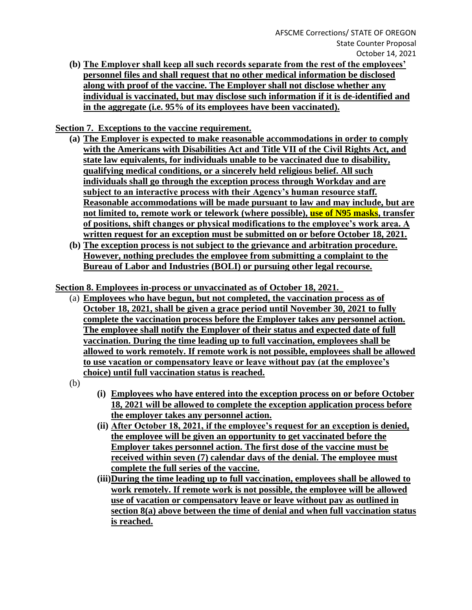**(b) The Employer shall keep all such records separate from the rest of the employees' personnel files and shall request that no other medical information be disclosed along with proof of the vaccine. The Employer shall not disclose whether any individual is vaccinated, but may disclose such information if it is de-identified and in the aggregate (i.e. 95% of its employees have been vaccinated).**

**Section 7. Exceptions to the vaccine requirement.** 

- **(a) The Employer is expected to make reasonable accommodations in order to comply with the Americans with Disabilities Act and Title VII of the Civil Rights Act, and state law equivalents, for individuals unable to be vaccinated due to disability, qualifying medical conditions, or a sincerely held religious belief. All such individuals shall go through the exception process through Workday and are subject to an interactive process with their Agency's human resource staff. Reasonable accommodations will be made pursuant to law and may include, but are not limited to, remote work or telework (where possible), use of N95 masks, transfer of positions, shift changes or physical modifications to the employee's work area. A written request for an exception must be submitted on or before October 18, 2021.**
- **(b) The exception process is not subject to the grievance and arbitration procedure. However, nothing precludes the employee from submitting a complaint to the Bureau of Labor and Industries (BOLI) or pursuing other legal recourse.**

**Section 8. Employees in-process or unvaccinated as of October 18, 2021.** 

- (a) **Employees who have begun, but not completed, the vaccination process as of October 18, 2021, shall be given a grace period until November 30, 2021 to fully complete the vaccination process before the Employer takes any personnel action. The employee shall notify the Employer of their status and expected date of full vaccination. During the time leading up to full vaccination, employees shall be allowed to work remotely. If remote work is not possible, employees shall be allowed to use vacation or compensatory leave or leave without pay (at the employee's choice) until full vaccination status is reached.**
- (b)
- **(i) Employees who have entered into the exception process on or before October 18, 2021 will be allowed to complete the exception application process before the employer takes any personnel action.**
- **(ii) After October 18, 2021, if the employee's request for an exception is denied, the employee will be given an opportunity to get vaccinated before the Employer takes personnel action. The first dose of the vaccine must be received within seven (7) calendar days of the denial. The employee must complete the full series of the vaccine.**
- **(iii)During the time leading up to full vaccination, employees shall be allowed to work remotely. If remote work is not possible, the employee will be allowed use of vacation or compensatory leave or leave without pay as outlined in section 8(a) above between the time of denial and when full vaccination status is reached.**